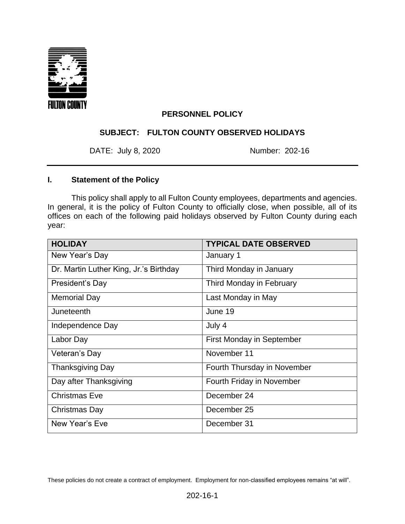

### **PERSONNEL POLICY**

### **SUBJECT: FULTON COUNTY OBSERVED HOLIDAYS**

DATE: July 8, 2020 Number: 202-16

# **I. Statement of the Policy**

This policy shall apply to all Fulton County employees, departments and agencies. In general, it is the policy of Fulton County to officially close, when possible, all of its offices on each of the following paid holidays observed by Fulton County during each year:

| <b>HOLIDAY</b>                         | <b>TYPICAL DATE OBSERVED</b> |
|----------------------------------------|------------------------------|
| New Year's Day                         | January 1                    |
| Dr. Martin Luther King, Jr.'s Birthday | Third Monday in January      |
| President's Day                        | Third Monday in February     |
| <b>Memorial Day</b>                    | Last Monday in May           |
| Juneteenth                             | June 19                      |
| Independence Day                       | July 4                       |
| Labor Day                              | First Monday in September    |
| Veteran's Day                          | November 11                  |
| <b>Thanksgiving Day</b>                | Fourth Thursday in November  |
| Day after Thanksgiving                 | Fourth Friday in November    |
| <b>Christmas Eve</b>                   | December 24                  |
| Christmas Day                          | December 25                  |
| New Year's Eve                         | December 31                  |

These policies do not create a contract of employment. Employment for non-classified employees remains "at will".